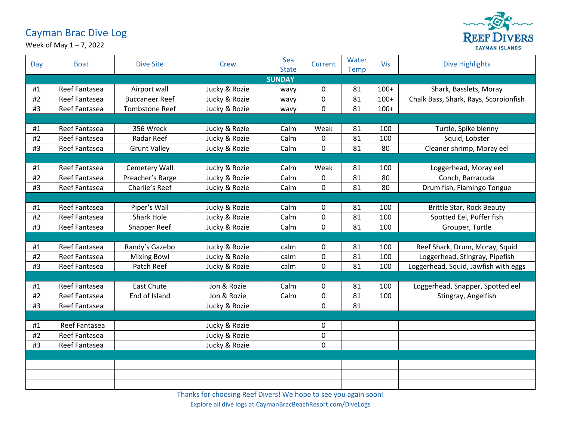## Cayman Brac Dive Log



Week of May 1 – 7, 2022

| Day           | <b>Boat</b>   | <b>Dive Site</b>      | <b>Crew</b>   | Sea<br><b>State</b> | Current     | Water<br>Temp | Vis    | <b>Dive Highlights</b>                |  |
|---------------|---------------|-----------------------|---------------|---------------------|-------------|---------------|--------|---------------------------------------|--|
| <b>SUNDAY</b> |               |                       |               |                     |             |               |        |                                       |  |
| #1            | Reef Fantasea | Airport wall          | Jucky & Rozie | wavy                | 0           | 81            | $100+$ | Shark, Basslets, Moray                |  |
| #2            | Reef Fantasea | <b>Buccaneer Reef</b> | Jucky & Rozie | wavy                | 0           | 81            | $100+$ | Chalk Bass, Shark, Rays, Scorpionfish |  |
| #3            | Reef Fantasea | <b>Tombstone Reef</b> | Jucky & Rozie | wavy                | 0           | 81            | $100+$ |                                       |  |
|               |               |                       |               |                     |             |               |        |                                       |  |
| #1            | Reef Fantasea | 356 Wreck             | Jucky & Rozie | Calm                | Weak        | 81            | 100    | Turtle, Spike blenny                  |  |
| #2            | Reef Fantasea | <b>Radar Reef</b>     | Jucky & Rozie | Calm                | $\mathbf 0$ | 81            | 100    | Squid, Lobster                        |  |
| #3            | Reef Fantasea | <b>Grunt Valley</b>   | Jucky & Rozie | Calm                | 0           | 81            | 80     | Cleaner shrimp, Moray eel             |  |
|               |               |                       |               |                     |             |               |        |                                       |  |
| #1            | Reef Fantasea | Cemetery Wall         | Jucky & Rozie | Calm                | Weak        | 81            | 100    | Loggerhead, Moray eel                 |  |
| #2            | Reef Fantasea | Preacher's Barge      | Jucky & Rozie | Calm                | 0           | 81            | 80     | Conch, Barracuda                      |  |
| #3            | Reef Fantasea | Charlie's Reef        | Jucky & Rozie | Calm                | $\mathbf 0$ | 81            | 80     | Drum fish, Flamingo Tongue            |  |
|               |               |                       |               |                     |             |               |        |                                       |  |
| #1            | Reef Fantasea | Piper's Wall          | Jucky & Rozie | Calm                | 0           | 81            | 100    | <b>Brittle Star, Rock Beauty</b>      |  |
| $\#2$         | Reef Fantasea | <b>Shark Hole</b>     | Jucky & Rozie | Calm                | $\mathbf 0$ | 81            | 100    | Spotted Eel, Puffer fish              |  |
| #3            | Reef Fantasea | Snapper Reef          | Jucky & Rozie | Calm                | $\mathbf 0$ | 81            | 100    | Grouper, Turtle                       |  |
|               |               |                       |               |                     |             |               |        |                                       |  |
| #1            | Reef Fantasea | Randy's Gazebo        | Jucky & Rozie | calm                | 0           | 81            | 100    | Reef Shark, Drum, Moray, Squid        |  |
| #2            | Reef Fantasea | <b>Mixing Bowl</b>    | Jucky & Rozie | calm                | 0           | 81            | 100    | Loggerhead, Stingray, Pipefish        |  |
| #3            | Reef Fantasea | Patch Reef            | Jucky & Rozie | calm                | $\mathbf 0$ | 81            | 100    | Loggerhead, Squid, Jawfish with eggs  |  |
|               |               |                       |               |                     |             |               |        |                                       |  |
| #1            | Reef Fantasea | <b>East Chute</b>     | Jon & Rozie   | Calm                | 0           | 81            | 100    | Loggerhead, Snapper, Spotted eel      |  |
| #2            | Reef Fantasea | End of Island         | Jon & Rozie   | Calm                | 0           | 81            | 100    | Stingray, Angelfish                   |  |
| #3            | Reef Fantasea |                       | Jucky & Rozie |                     | $\mathbf 0$ | 81            |        |                                       |  |
|               |               |                       |               |                     |             |               |        |                                       |  |
| #1            | Reef Fantasea |                       | Jucky & Rozie |                     | $\mathbf 0$ |               |        |                                       |  |
| #2            | Reef Fantasea |                       | Jucky & Rozie |                     | 0           |               |        |                                       |  |
| #3            | Reef Fantasea |                       | Jucky & Rozie |                     | 0           |               |        |                                       |  |
|               |               |                       |               |                     |             |               |        |                                       |  |
|               |               |                       |               |                     |             |               |        |                                       |  |
|               |               |                       |               |                     |             |               |        |                                       |  |
|               |               |                       |               |                     |             |               |        |                                       |  |

Thanks for choosing Reef Divers! We hope to see you again soon!

Explore all dive logs at CaymanBracBeachResort.com/DiveLogs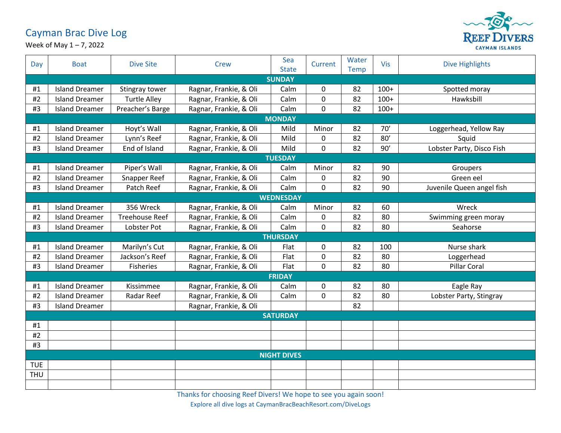## Cayman Brac Dive Log



Week of May 1 – 7, 2022

| Day                | <b>Boat</b>           | <b>Dive Site</b>      | Crew                   | Sea<br><b>State</b> | Current     | Water<br>Temp | Vis    | <b>Dive Highlights</b>    |  |  |  |
|--------------------|-----------------------|-----------------------|------------------------|---------------------|-------------|---------------|--------|---------------------------|--|--|--|
|                    | <b>SUNDAY</b>         |                       |                        |                     |             |               |        |                           |  |  |  |
| #1                 | <b>Island Dreamer</b> | Stingray tower        | Ragnar, Frankie, & Oli | Calm                | 0           | 82            | $100+$ | Spotted moray             |  |  |  |
| #2                 | <b>Island Dreamer</b> | <b>Turtle Alley</b>   | Ragnar, Frankie, & Oli | Calm                | $\mathbf 0$ | 82            | $100+$ | Hawksbill                 |  |  |  |
| #3                 | <b>Island Dreamer</b> | Preacher's Barge      | Ragnar, Frankie, & Oli | Calm                | 0           | 82            | $100+$ |                           |  |  |  |
|                    | <b>MONDAY</b>         |                       |                        |                     |             |               |        |                           |  |  |  |
| #1                 | <b>Island Dreamer</b> | Hoyt's Wall           | Ragnar, Frankie, & Oli | Mild                | Minor       | 82            | 70'    | Loggerhead, Yellow Ray    |  |  |  |
| #2                 | <b>Island Dreamer</b> | Lynn's Reef           | Ragnar, Frankie, & Oli | Mild                | 0           | 82            | 80'    | Squid                     |  |  |  |
| #3                 | <b>Island Dreamer</b> | End of Island         | Ragnar, Frankie, & Oli | Mild                | $\mathbf 0$ | 82            | 90'    | Lobster Party, Disco Fish |  |  |  |
|                    |                       |                       |                        | <b>TUESDAY</b>      |             |               |        |                           |  |  |  |
| #1                 | <b>Island Dreamer</b> | Piper's Wall          | Ragnar, Frankie, & Oli | Calm                | Minor       | 82            | 90     | Groupers                  |  |  |  |
| #2                 | <b>Island Dreamer</b> | Snapper Reef          | Ragnar, Frankie, & Oli | Calm                | 0           | 82            | 90     | Green eel                 |  |  |  |
| #3                 | <b>Island Dreamer</b> | Patch Reef            | Ragnar, Frankie, & Oli | Calm                | $\mathbf 0$ | 82            | 90     | Juvenile Queen angel fish |  |  |  |
|                    |                       |                       |                        | <b>WEDNESDAY</b>    |             |               |        |                           |  |  |  |
| #1                 | <b>Island Dreamer</b> | 356 Wreck             | Ragnar, Frankie, & Oli | Calm                | Minor       | 82            | 60     | Wreck                     |  |  |  |
| #2                 | <b>Island Dreamer</b> | <b>Treehouse Reef</b> | Ragnar, Frankie, & Oli | Calm                | $\mathbf 0$ | 82            | 80     | Swimming green moray      |  |  |  |
| #3                 | <b>Island Dreamer</b> | Lobster Pot           | Ragnar, Frankie, & Oli | Calm                | $\mathbf 0$ | 82            | 80     | Seahorse                  |  |  |  |
|                    |                       |                       |                        | <b>THURSDAY</b>     |             |               |        |                           |  |  |  |
| #1                 | <b>Island Dreamer</b> | Marilyn's Cut         | Ragnar, Frankie, & Oli | Flat                | 0           | 82            | 100    | Nurse shark               |  |  |  |
| #2                 | <b>Island Dreamer</b> | Jackson's Reef        | Ragnar, Frankie, & Oli | Flat                | 0           | 82            | 80     | Loggerhead                |  |  |  |
| #3                 | <b>Island Dreamer</b> | <b>Fisheries</b>      | Ragnar, Frankie, & Oli | Flat                | $\mathbf 0$ | 82            | 80     | Pillar Coral              |  |  |  |
|                    | <b>FRIDAY</b>         |                       |                        |                     |             |               |        |                           |  |  |  |
| #1                 | <b>Island Dreamer</b> | Kissimmee             | Ragnar, Frankie, & Oli | Calm                | 0           | 82            | 80     | Eagle Ray                 |  |  |  |
| #2                 | <b>Island Dreamer</b> | Radar Reef            | Ragnar, Frankie, & Oli | Calm                | $\mathbf 0$ | 82            | 80     | Lobster Party, Stingray   |  |  |  |
| #3                 | <b>Island Dreamer</b> |                       | Ragnar, Frankie, & Oli |                     |             | 82            |        |                           |  |  |  |
|                    | <b>SATURDAY</b>       |                       |                        |                     |             |               |        |                           |  |  |  |
| #1                 |                       |                       |                        |                     |             |               |        |                           |  |  |  |
| #2                 |                       |                       |                        |                     |             |               |        |                           |  |  |  |
| #3                 |                       |                       |                        |                     |             |               |        |                           |  |  |  |
| <b>NIGHT DIVES</b> |                       |                       |                        |                     |             |               |        |                           |  |  |  |
| <b>TUE</b>         |                       |                       |                        |                     |             |               |        |                           |  |  |  |
| <b>THU</b>         |                       |                       |                        |                     |             |               |        |                           |  |  |  |
|                    |                       |                       |                        |                     |             |               |        |                           |  |  |  |

Thanks for choosing Reef Divers! We hope to see you again soon!

Explore all dive logs at CaymanBracBeachResort.com/DiveLogs